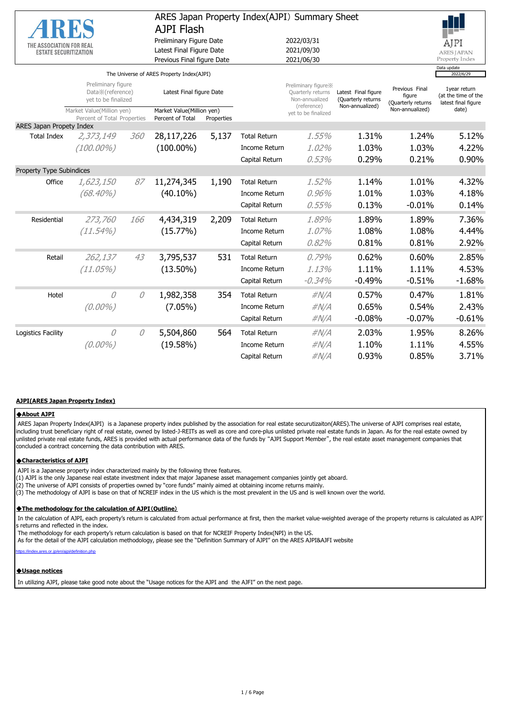|                                 |                                                                 | ARES Japan Property Index(AJPI) Summary Sheet |                                                             |       |                      |                                                                            |                                                              |                                                |                                                            |
|---------------------------------|-----------------------------------------------------------------|-----------------------------------------------|-------------------------------------------------------------|-------|----------------------|----------------------------------------------------------------------------|--------------------------------------------------------------|------------------------------------------------|------------------------------------------------------------|
|                                 |                                                                 |                                               | AJPI Flash                                                  |       |                      |                                                                            |                                                              |                                                |                                                            |
| THE ASSOCIATION FOR REAL        |                                                                 |                                               | Preliminary Figure Date                                     |       |                      | 2022/03/31                                                                 |                                                              |                                                | AJPI                                                       |
| <b>ESTATE SECURITIZATION</b>    |                                                                 |                                               | Latest Final Figure Date                                    |       |                      | 2021/09/30<br><b>ARES JAPAN</b>                                            |                                                              |                                                |                                                            |
|                                 |                                                                 |                                               | Previous Final figure Date                                  |       |                      | 2021/06/30                                                                 |                                                              |                                                | Property Index<br>Data update                              |
|                                 |                                                                 |                                               | The Universe of ARES Property Index(AJPI)                   |       |                      |                                                                            |                                                              |                                                | 2022/6/29                                                  |
|                                 | Preliminary figure<br>Data X (reference)<br>yet to be finalized |                                               | Latest Final figure Date                                    |       |                      | Preliminary figure X<br>Quarterly returns<br>Non-annualized<br>(reference) | Latest Final figure<br>(Quarterly returns<br>Non-annualized) | Previous Final<br>figure<br>(Quarterly returns | 1year return<br>(at the time of the<br>latest final figure |
|                                 | Market Value(Million yen)<br>Percent of Total Properties        |                                               | Market Value(Million yen)<br>Percent of Total<br>Properties |       |                      | yet to be finalized                                                        |                                                              | Non-annualized)                                | date)                                                      |
| <b>ARES Japan Propety Index</b> |                                                                 |                                               |                                                             |       |                      |                                                                            |                                                              |                                                |                                                            |
| <b>Total Index</b>              | 2,373,149                                                       | <i>360</i>                                    | 28,117,226                                                  | 5,137 | <b>Total Return</b>  | 1.55%                                                                      | 1.31%                                                        | 1.24%                                          | 5.12%                                                      |
|                                 | $(100.00\%)$                                                    |                                               | $(100.00\%)$                                                |       | <b>Income Return</b> | 1.02%                                                                      | 1.03%                                                        | 1.03%                                          | 4.22%                                                      |
|                                 |                                                                 |                                               |                                                             |       | Capital Return       | 0.53%                                                                      | 0.29%                                                        | 0.21%                                          | 0.90%                                                      |
| Property Type Subindices        |                                                                 |                                               |                                                             |       |                      |                                                                            |                                                              |                                                |                                                            |
| Office                          | 1,623,150                                                       | 87                                            | 11,274,345                                                  | 1,190 | <b>Total Return</b>  | 1.52%                                                                      | 1.14%                                                        | 1.01%                                          | 4.32%                                                      |
|                                 | $(68.40\%)$                                                     |                                               | $(40.10\%)$                                                 |       | <b>Income Return</b> | 0,96%                                                                      | 1.01%                                                        | 1.03%                                          | 4.18%                                                      |
|                                 |                                                                 |                                               |                                                             |       | Capital Return       | 0.55%                                                                      | 0.13%                                                        | $-0.01%$                                       | 0.14%                                                      |
| Residential                     | 273,760                                                         | 166                                           | 4,434,319                                                   | 2,209 | <b>Total Return</b>  | 1.89%                                                                      | 1.89%                                                        | 1.89%                                          | 7.36%                                                      |
|                                 | $(11.54\%)$                                                     |                                               | (15.77%)                                                    |       | <b>Income Return</b> | 1.07%                                                                      | 1.08%                                                        | 1.08%                                          | 4.44%                                                      |
|                                 |                                                                 |                                               |                                                             |       | Capital Return       | 0.82%                                                                      | 0.81%                                                        | 0.81%                                          | 2.92%                                                      |
| Retail                          | 262,137                                                         | 43                                            | 3,795,537                                                   | 531   | <b>Total Return</b>  | 0.79%                                                                      | 0.62%                                                        | 0.60%                                          | 2.85%                                                      |
|                                 | (11.05%)                                                        |                                               | $(13.50\%)$                                                 |       | <b>Income Return</b> | 1.13%                                                                      | 1.11%                                                        | 1.11%                                          | 4.53%                                                      |
|                                 |                                                                 |                                               |                                                             |       | Capital Return       | $-0.34%$                                                                   | $-0.49%$                                                     | $-0.51%$                                       | $-1.68%$                                                   |
| Hotel                           | 0                                                               | 0                                             | 1,982,358                                                   | 354   | <b>Total Return</b>  | $\#N/A$                                                                    | 0.57%                                                        | 0.47%                                          | 1.81%                                                      |
|                                 | $(0.00\%)$                                                      |                                               | $(7.05\%)$                                                  |       | <b>Income Return</b> | $\#N/A$                                                                    | 0.65%                                                        | 0.54%                                          | 2.43%                                                      |
|                                 |                                                                 |                                               |                                                             |       | Capital Return       | $\#N/A$                                                                    | $-0.08%$                                                     | $-0.07%$                                       | $-0.61%$                                                   |
| Logistics Facility              | 0                                                               | 0                                             | 5,504,860                                                   | 564   | <b>Total Return</b>  | $\#N/A$                                                                    | 2.03%                                                        | 1.95%                                          | 8.26%                                                      |
|                                 | $(0.00\%)$                                                      |                                               | (19.58%)                                                    |       | <b>Income Return</b> | $\#N/A$                                                                    | 1.10%                                                        | 1.11%                                          | 4.55%                                                      |
|                                 |                                                                 |                                               |                                                             |       | Capital Return       | $\#N/A$                                                                    | 0.93%                                                        | 0.85%                                          | 3.71%                                                      |
|                                 |                                                                 |                                               |                                                             |       |                      |                                                                            |                                                              |                                                |                                                            |

#### **AJPI(ARES Japan Property Index)**

#### ◆**About AJPI**

 ARES Japan Property Index(AJPI) is a Japanese property index published by the association for real estate securutizaiton(ARES).The universe of AJPI comprises real estate, including trust beneficiary right of real estate, owned by listed-J-REITs as well as core and core-plus unlisted private real estate funds in Japan. As for the real estate owned by unlisted private real estate funds, ARES is provided with actual performance data of the funds by "AJPI Support Member", the real estate asset management companies that concluded a contract concerning the data contribution with ARES.

#### ◆**Characteristics of AJPI**

AJPI is a Japanese property index characterized mainly by the following three features.

- (1) AJPI is the only Japanese real estate investment index that major Japanese asset management companies jointly get aboard.
- (2) The universe of AJPI consists of properties owned by "core funds" mainly aimed at obtaining income returns mainly.
- (3) The methodology of AJPI is base on that of NCREIF index in the US which is the most prevalent in the US and is well known over the world.

#### ◆**The methodology for the calculation of AJPI**(**Outline**)

 In the calculation of AJPI, each property's return is calculated from actual performance at first, then the market value-weighted average of the property returns is calculated as AJPI' s returns and reflected in the index.

The methodology for each property's return calculation is based on that for NCREIF Property Index(NPI) in the US.

As for the detail of the AJPI calculation methodology, please see the "Definition Summary of AJPI" on the ARES AJPI&AJFI website

ex.ares.or.jp/en/ajpi/definition.php

### ◆**Usage notices**

In utilizing AJPI, please take good note about the "Usage notices for the AJPI and the AJFI" on the next page.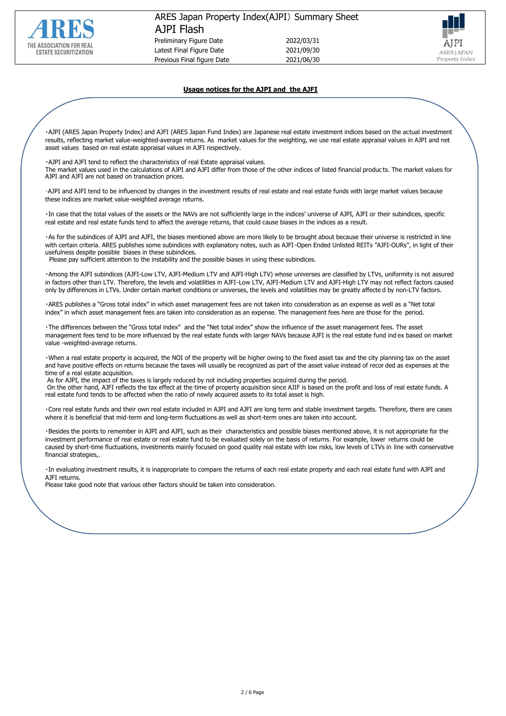



# **Usage notices for the AJPI and the AJFI**

・AJPI (ARES Japan Property Index) and AJFI (ARES Japan Fund Index) are Japanese real estate investment indices based on the actual investment results, reflecting market value-weighted-average returns. As market values for the weighting, we use real estate appraisal values in AJPI and net asset values based on real estate appraisal values in AJFI respectively.

・AJPI and AJFI tend to reflect the characteristics of real Estate appraisal values.

The market values used in the calculations of AJPI and AJFI differ from those of the other indices of listed financial produc ts. The market values for AJPI and AJFI are not based on transaction prices.

・AJPI and AJFI tend to be influenced by changes in the investment results of real estate and real estate funds with large market values because these indices are market value-weighted average returns.

・In case that the total values of the assets or the NAVs are not sufficiently large in the indices' universe of AJPI, AJFI or their subindices, specific real estate and real estate funds tend to affect the average returns, that could cause biases in the indices as a result.

・As for the subindices of AJPI and AJFI, the biases mentioned above are more likely to be brought about because their universe is restricted in line with certain criteria. ARES publishes some subindices with explanatory notes, such as AJFI-Open Ended Unlisted REITs "AJFI-OURs", in light of their usefulness despite possible biases in these subindices.

Please pay sufficient attention to the instability and the possible biases in using these subindices.

・Among the AJFI subindices (AJFI-Low LTV, AJFI-Medium LTV and AJFI-High LTV) whose universes are classified by LTVs, uniformity is not assured in factors other than LTV. Therefore, the levels and volatilities in AJFI-Low LTV, AJFI-Medium LTV and AJFI-High LTV may not reflect factors caused only by differences in LTVs. Under certain market conditions or universes, the levels and volatilities may be greatly affecte d by non-LTV factors.

・ARES publishes a "Gross total index" in which asset management fees are not taken into consideration as an expense as well as a "Net total index" in which asset management fees are taken into consideration as an expense. The management fees here are those for the period.

・The differences between the "Gross total index" and the "Net total index" show the influence of the asset management fees. The asset management fees tend to be more influenced by the real estate funds with larger NAVs because AJFI is the real estate fund ind ex based on market value -weighted-average returns.

・When a real estate property is acquired, the NOI of the property will be higher owing to the fixed asset tax and the city planning tax on the asset and have positive effects on returns because the taxes will usually be recognized as part of the asset value instead of recor ded as expenses at the time of a real estate acquisition.

As for AJPI, the impact of the taxes is largely reduced by not including properties acquired during the period.

On the other hand, AJFI reflects the tax effect at the time of property acquisition since AJIF is based on the profit and loss of real estate funds. A real estate fund tends to be affected when the ratio of newly acquired assets to its total asset is high.

・Core real estate funds and their own real estate included in AJPI and AJFI are long term and stable investment targets. Therefore, there are cases where it is beneficial that mid-term and long-term fluctuations as well as short-term ones are taken into account.

・Besides the points to remember in AJPI and AJFI, such as their characteristics and possible biases mentioned above, it is not appropriate for the investment performance of real estate or real estate fund to be evaluated solely on the basis of returns. For example, lower returns could be caused by short-time fluctuations, investments mainly focused on good quality real estate with low risks, low levels of LTVs in line with conservative financial strategies,.

・In evaluating investment results, it is inappropriate to compare the returns of each real estate property and each real estate fund with AJPI and AJFI returns.

Please take good note that various other factors should be taken into consideration.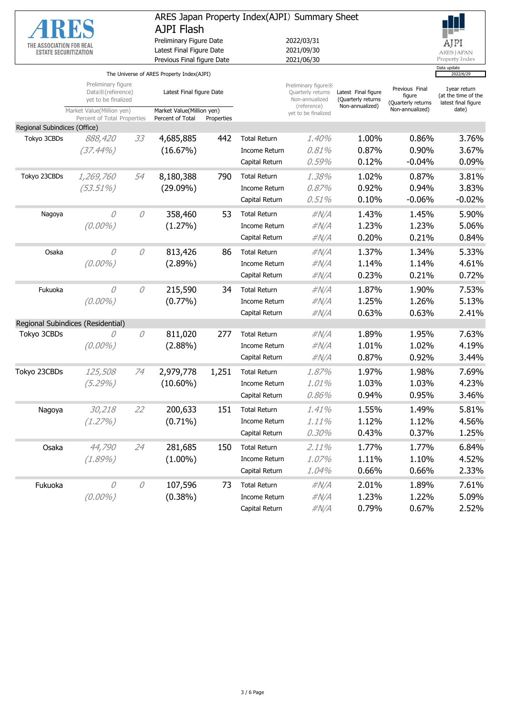| THE ASSOCIATION FOR REAL<br><b>ESTATE SECURITIZATION</b> |                                                                 |              | AJPI Flash<br>Preliminary Figure Date<br>Latest Final Figure Date<br>Previous Final figure Date |            |                      | ARES Japan Property Index(AJPI) Summary Sheet<br>2022/03/31<br>2021/09/30<br>2021/06/30 |                                                              |                                                                   | AJPI<br><b>ARES JAPAN</b><br>Property Index                         |  |
|----------------------------------------------------------|-----------------------------------------------------------------|--------------|-------------------------------------------------------------------------------------------------|------------|----------------------|-----------------------------------------------------------------------------------------|--------------------------------------------------------------|-------------------------------------------------------------------|---------------------------------------------------------------------|--|
|                                                          |                                                                 |              | The Universe of ARES Property Index(AJPI)                                                       |            |                      | Data update<br>2022/6/29                                                                |                                                              |                                                                   |                                                                     |  |
|                                                          | Preliminary figure<br>Data X (reference)<br>yet to be finalized |              | Latest Final figure Date<br>Market Value(Million yen)                                           |            |                      | Preliminary figure X<br>Quarterly returns<br>Non-annualized<br>(reference)              | Latest Final figure<br>(Quarterly returns<br>Non-annualized) | Previous Final<br>figure<br>(Quarterly returns<br>Non-annualized) | 1year return<br>(at the time of the<br>latest final figure<br>date) |  |
|                                                          | Market Value(Million yen)<br>Percent of Total Properties        |              | Percent of Total                                                                                | Properties |                      | vet to be finalized                                                                     |                                                              |                                                                   |                                                                     |  |
| Regional Subindices (Office)                             |                                                                 |              |                                                                                                 |            |                      |                                                                                         |                                                              |                                                                   |                                                                     |  |
| Tokyo 3CBDs                                              | 888,420                                                         | 33           | 4,685,885                                                                                       | 442        | <b>Total Return</b>  | 1.40%                                                                                   | 1.00%                                                        | 0.86%                                                             | 3.76%                                                               |  |
|                                                          | $(37.44\%)$                                                     |              | (16.67%)                                                                                        |            | <b>Income Return</b> | 0.81%                                                                                   | 0.87%                                                        | 0.90%                                                             | 3.67%                                                               |  |
|                                                          |                                                                 |              |                                                                                                 |            | Capital Return       | 0.59%                                                                                   | 0.12%                                                        | $-0.04%$                                                          | 0.09%                                                               |  |
| Tokyo 23CBDs                                             | 1,269,760                                                       | 54           | 8,180,388                                                                                       | 790        | <b>Total Return</b>  | 1.38%                                                                                   | 1.02%                                                        | 0.87%                                                             | 3.81%                                                               |  |
|                                                          | $(53.51\%)$                                                     |              | $(29.09\%)$                                                                                     |            | Income Return        | 0.87%                                                                                   | 0.92%                                                        | 0.94%                                                             | 3.83%                                                               |  |
|                                                          |                                                                 |              |                                                                                                 |            | Capital Return       | 0.51%                                                                                   | 0.10%                                                        | $-0.06%$                                                          | $-0.02%$                                                            |  |
| Nagoya                                                   | 0                                                               | 0            | 358,460                                                                                         | 53         | <b>Total Return</b>  | $\#N/A$                                                                                 | 1.43%                                                        | 1.45%                                                             | 5.90%                                                               |  |
|                                                          | $(0.00\%)$                                                      |              | (1.27%)                                                                                         |            | Income Return        | $\#N/A$                                                                                 | 1.23%                                                        | 1.23%                                                             | 5.06%                                                               |  |
|                                                          |                                                                 |              |                                                                                                 |            | Capital Return       | #N/A                                                                                    | 0.20%                                                        | 0.21%                                                             | 0.84%                                                               |  |
| Osaka                                                    | 0                                                               | 0            | 813,426                                                                                         | 86         | <b>Total Return</b>  | $\#N/A$                                                                                 | 1.37%                                                        | 1.34%                                                             | 5.33%                                                               |  |
|                                                          | $(0.00\%)$                                                      |              | $(2.89\%)$                                                                                      |            | Income Return        | $\#N/A$                                                                                 | 1.14%                                                        | 1.14%                                                             | 4.61%                                                               |  |
|                                                          |                                                                 |              |                                                                                                 |            | Capital Return       | #N/A                                                                                    | 0.23%                                                        | 0.21%                                                             | 0.72%                                                               |  |
| Fukuoka                                                  | O                                                               | 0            | 215,590                                                                                         | 34         | <b>Total Return</b>  | $\#N/A$                                                                                 | 1.87%                                                        | 1.90%                                                             | 7.53%                                                               |  |
|                                                          | $(0.00\%)$                                                      |              | $(0.77\%)$                                                                                      |            | Income Return        | $\#N/A$                                                                                 | 1.25%                                                        | 1.26%                                                             | 5.13%                                                               |  |
|                                                          |                                                                 |              |                                                                                                 |            | Capital Return       | $\#N/A$                                                                                 | 0.63%                                                        | 0.63%                                                             | 2.41%                                                               |  |
|                                                          | Regional Subindices (Residential)                               |              |                                                                                                 |            |                      |                                                                                         |                                                              |                                                                   |                                                                     |  |
| Tokyo 3CBDs                                              | 0                                                               | 0            | 811,020                                                                                         | 277        | <b>Total Return</b>  | $\#N/A$                                                                                 | 1.89%                                                        | 1.95%                                                             | 7.63%                                                               |  |
|                                                          | $(0.00\%)$                                                      |              | $(2.88\%)$                                                                                      |            | Income Return        | $\#N/A$                                                                                 | 1.01%                                                        | 1.02%                                                             | 4.19%                                                               |  |
|                                                          |                                                                 |              |                                                                                                 |            | Capital Return       | $\#N/A$                                                                                 | 0.87%                                                        | 0.92%                                                             | 3.44%                                                               |  |
| Tokyo 23CBDs                                             | 125,508                                                         | 74           | 2,979,778                                                                                       | 1,251      | <b>Total Return</b>  | 1.87%                                                                                   | 1.97%                                                        | 1.98%                                                             | 7.69%                                                               |  |
|                                                          | $(5.29\%)$                                                      |              | $(10.60\%)$                                                                                     |            | <b>Income Return</b> | 1.01%                                                                                   | 1.03%                                                        | 1.03%                                                             | 4.23%                                                               |  |
|                                                          |                                                                 |              |                                                                                                 |            | Capital Return       | 0.86%                                                                                   | 0.94%                                                        | 0.95%                                                             | 3.46%                                                               |  |
| Nagoya                                                   | 30,218                                                          | 22           | 200,633                                                                                         | 151        | <b>Total Return</b>  | 1.41%                                                                                   | 1.55%                                                        | 1.49%                                                             | 5.81%                                                               |  |
|                                                          | (1.27%)                                                         |              | $(0.71\%)$                                                                                      |            | Income Return        | 1.11%                                                                                   | 1.12%                                                        | 1.12%                                                             | 4.56%                                                               |  |
|                                                          |                                                                 |              |                                                                                                 |            | Capital Return       | 0.30%                                                                                   | 0.43%                                                        | 0.37%                                                             | 1.25%                                                               |  |
| Osaka                                                    | 44,790                                                          | 24           | 281,685                                                                                         | 150        | <b>Total Return</b>  | 2.11%                                                                                   | 1.77%                                                        | 1.77%                                                             | 6.84%                                                               |  |
|                                                          | (1.89%)                                                         |              | $(1.00\%)$                                                                                      |            | Income Return        | 1.07%                                                                                   | 1.11%                                                        | 1.10%                                                             | 4.52%                                                               |  |
|                                                          |                                                                 |              |                                                                                                 |            | Capital Return       | 1.04%                                                                                   | 0.66%                                                        | 0.66%                                                             | 2.33%                                                               |  |
| Fukuoka                                                  | 0                                                               | $\mathcal O$ | 107,596                                                                                         | 73         | <b>Total Return</b>  | $\#N/A$                                                                                 | 2.01%                                                        | 1.89%                                                             | 7.61%                                                               |  |
|                                                          | $(0.00\%)$                                                      |              | $(0.38\%)$                                                                                      |            | Income Return        | $\#N/A$                                                                                 | 1.23%                                                        | 1.22%                                                             | 5.09%                                                               |  |
|                                                          |                                                                 |              |                                                                                                 |            | Capital Return       | $\#N/A$                                                                                 | 0.79%                                                        | 0.67%                                                             | 2.52%                                                               |  |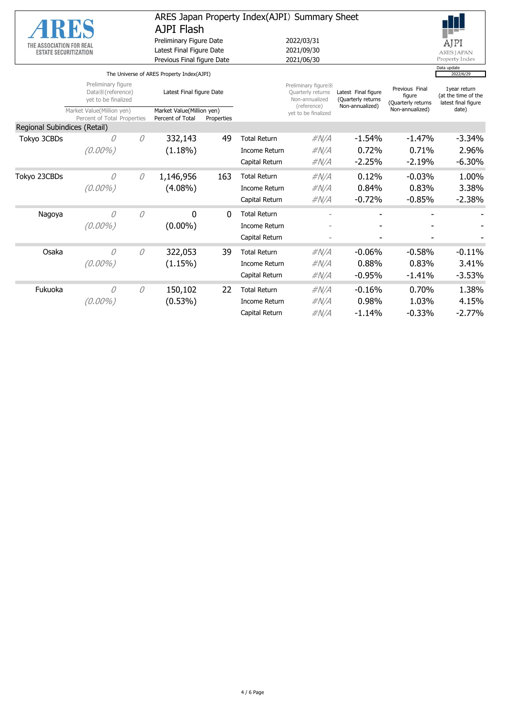|                                                          |                                                               | ARES Japan Property Index(AJPI) Summary Sheet<br><b>AJPI Flash</b> |                                                                                   |     |                      |                                                                            |                                                              |                                                |                                                            |
|----------------------------------------------------------|---------------------------------------------------------------|--------------------------------------------------------------------|-----------------------------------------------------------------------------------|-----|----------------------|----------------------------------------------------------------------------|--------------------------------------------------------------|------------------------------------------------|------------------------------------------------------------|
| THE ASSOCIATION FOR REAL<br><b>ESTATE SECURITIZATION</b> |                                                               |                                                                    | Preliminary Figure Date<br>Latest Final Figure Date<br>Previous Final figure Date |     |                      | 2022/03/31<br>2021/09/30<br>2021/06/30                                     | AJPI<br><b>ARES JAPAN</b><br>Property Index                  |                                                |                                                            |
|                                                          |                                                               |                                                                    | The Universe of ARES Property Index(AJPI)                                         |     |                      |                                                                            |                                                              |                                                | Data update<br>2022/6/29                                   |
|                                                          | Preliminary figure<br>Data※(reference)<br>yet to be finalized |                                                                    | Latest Final figure Date                                                          |     |                      | Preliminary figure X<br>Quarterly returns<br>Non-annualized<br>(reference) | Latest Final figure<br>(Quarterly returns<br>Non-annualized) | Previous Final<br>figure<br>(Quarterly returns | 1year return<br>(at the time of the<br>latest final figure |
|                                                          | Market Value(Million yen)<br>Percent of Total Properties      |                                                                    | Market Value(Million yen)<br>Percent of Total<br>Properties                       |     |                      | yet to be finalized                                                        |                                                              | Non-annualized)                                | date)                                                      |
| Regional Subindices (Retail)                             |                                                               |                                                                    |                                                                                   |     |                      |                                                                            |                                                              |                                                |                                                            |
| Tokyo 3CBDs                                              | 0                                                             | 0                                                                  | 332,143                                                                           | 49  | <b>Total Return</b>  | $\#N/A$                                                                    | $-1.54%$                                                     | $-1.47%$                                       | $-3.34%$                                                   |
|                                                          | $(0.00\%)$                                                    |                                                                    | $(1.18\%)$                                                                        |     | <b>Income Return</b> | $\#N/A$                                                                    | 0.72%                                                        | 0.71%                                          | 2.96%                                                      |
|                                                          |                                                               |                                                                    |                                                                                   |     | Capital Return       | #N/A                                                                       | $-2.25%$                                                     | $-2.19%$                                       | $-6.30%$                                                   |
| Tokyo 23CBDs                                             | 0                                                             | 0                                                                  | 1,146,956                                                                         | 163 | <b>Total Return</b>  | $\#N/A$                                                                    | 0.12%                                                        | $-0.03%$                                       | 1.00%                                                      |
|                                                          | $(0.00\%)$                                                    |                                                                    | $(4.08\%)$                                                                        |     | <b>Income Return</b> | $\#N/A$                                                                    | 0.84%                                                        | 0.83%                                          | 3.38%                                                      |
|                                                          |                                                               |                                                                    |                                                                                   |     | Capital Return       | $\#N/A$                                                                    | $-0.72%$                                                     | $-0.85%$                                       | $-2.38%$                                                   |
| Nagoya                                                   | 0                                                             | $\theta$                                                           | 0                                                                                 | 0   | <b>Total Return</b>  |                                                                            |                                                              |                                                |                                                            |
|                                                          | $(0.00\%)$                                                    |                                                                    | $(0.00\%)$                                                                        |     | <b>Income Return</b> |                                                                            |                                                              |                                                |                                                            |
|                                                          |                                                               |                                                                    |                                                                                   |     | Capital Return       | $\overline{a}$                                                             |                                                              |                                                |                                                            |
| Osaka                                                    | 0                                                             | 0                                                                  | 322,053                                                                           | 39  | <b>Total Return</b>  | $\#N/A$                                                                    | $-0.06%$                                                     | $-0.58%$                                       | $-0.11%$                                                   |
|                                                          | $(0.00\%)$                                                    |                                                                    | (1.15%)                                                                           |     | <b>Income Return</b> | $\#N/A$                                                                    | 0.88%                                                        | 0.83%                                          | 3.41%                                                      |
|                                                          |                                                               |                                                                    |                                                                                   |     | Capital Return       | $\#N/A$                                                                    | $-0.95%$                                                     | $-1.41%$                                       | $-3.53%$                                                   |
| Fukuoka                                                  | 0                                                             | 0                                                                  | 150,102                                                                           | 22  | <b>Total Return</b>  | $\#N/A$                                                                    | $-0.16%$                                                     | 0.70%                                          | 1.38%                                                      |
|                                                          | $(0.00\%)$                                                    |                                                                    | $(0.53\%)$                                                                        |     | Income Return        | $\#N/A$                                                                    | 0.98%                                                        | 1.03%                                          | 4.15%                                                      |
|                                                          |                                                               |                                                                    |                                                                                   |     | Capital Return       | #N/A                                                                       | $-1.14%$                                                     | $-0.33%$                                       | $-2.77%$                                                   |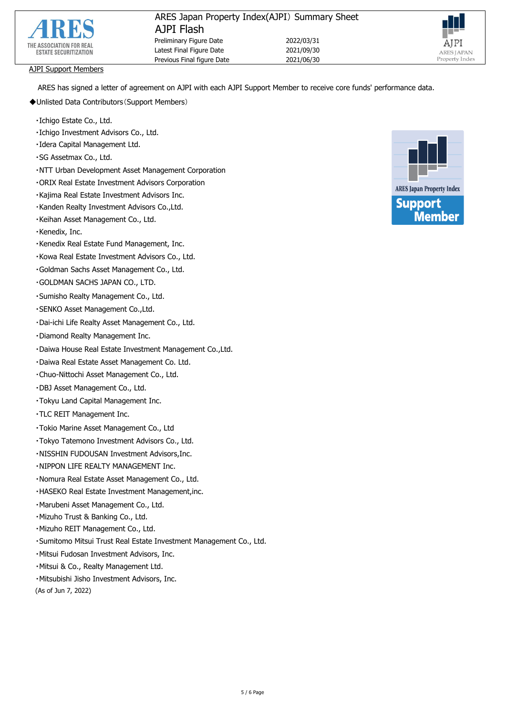



## AJPI Support Members

ARES has signed a letter of agreement on AJPI with each AJPI Support Member to receive core funds' performance data.

- ◆Unlisted Data Contributors(Support Members)
	- ・Ichigo Estate Co., Ltd.
	- ・Ichigo Investment Advisors Co., Ltd.
	- ・Idera Capital Management Ltd.
	- ・SG Assetmax Co., Ltd.
	- ・NTT Urban Development Asset Management Corporation
	- ・ORIX Real Estate Investment Advisors Corporation
	- ・Kajima Real Estate Investment Advisors Inc.
	- ・Kanden Realty Investment Advisors Co.,Ltd.
	- ・Keihan Asset Management Co., Ltd.
	- ・Kenedix, Inc.
	- ・Kenedix Real Estate Fund Management, Inc.
	- ・Kowa Real Estate Investment Advisors Co., Ltd.
	- ・Goldman Sachs Asset Management Co., Ltd.
	- ・GOLDMAN SACHS JAPAN CO., LTD.
	- ・Sumisho Realty Management Co., Ltd.
	- ・SENKO Asset Management Co.,Ltd.
	- ・Dai-ichi Life Realty Asset Management Co., Ltd.
	- ・Diamond Realty Management Inc.
	- ・Daiwa House Real Estate Investment Management Co.,Ltd.
	- ・Daiwa Real Estate Asset Management Co. Ltd.
	- ・Chuo-Nittochi Asset Management Co., Ltd.
	- ・DBJ Asset Management Co., Ltd.
	- ・Tokyu Land Capital Management Inc.
	- ・TLC REIT Management Inc.
	- ・Tokio Marine Asset Management Co., Ltd
	- ・Tokyo Tatemono Investment Advisors Co., Ltd.
	- ・NISSHIN FUDOUSAN Investment Advisors,Inc.
	- ・NIPPON LIFE REALTY MANAGEMENT Inc.
	- ・Nomura Real Estate Asset Management Co., Ltd.
	- ・HASEKO Real Estate Investment Management,inc.
	- ・Marubeni Asset Management Co., Ltd.
	- ・Mizuho Trust & Banking Co., Ltd.
	- ・Mizuho REIT Management Co., Ltd.
	- ・Sumitomo Mitsui Trust Real Estate Investment Management Co., Ltd.
	- ・Mitsui Fudosan Investment Advisors, Inc.
	- ・Mitsui & Co., Realty Management Ltd.
	- ・Mitsubishi Jisho Investment Advisors, Inc.

(As of Jun 7, 2022)